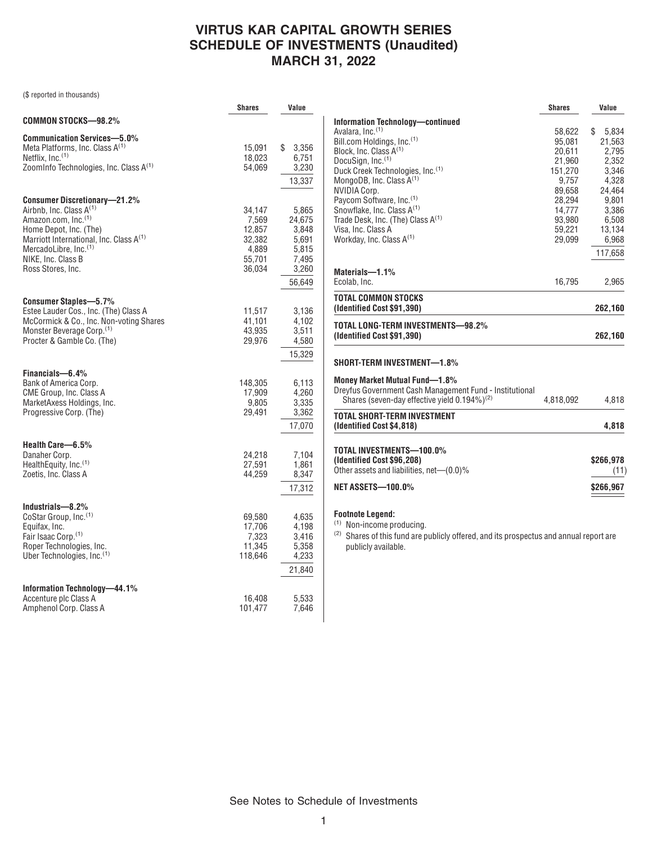## **VIRTUS KAR CAPITAL GROWTH SERIES SCHEDULE OF INVESTMENTS (Unaudited) MARCH 31, 2022**

(\$ reported in thousands)

|                                                                                                                                                                                                                                                                    | <b>Shares</b>                                                    | Value                                                                  |
|--------------------------------------------------------------------------------------------------------------------------------------------------------------------------------------------------------------------------------------------------------------------|------------------------------------------------------------------|------------------------------------------------------------------------|
| COMMON STOCKS-98.2%                                                                                                                                                                                                                                                |                                                                  |                                                                        |
| <b>Communication Services-5.0%</b><br>Meta Platforms, Inc. Class A <sup>(1)</sup><br>Netflix, Inc. <sup>(1)</sup><br>ZoomInfo Technologies, Inc. Class A <sup>(1)</sup>                                                                                            | 15,091<br>18,023<br>54,069                                       | \$<br>3,356<br>6,751<br>3,230<br>13,337                                |
| <b>Consumer Discretionary-21.2%</b><br>Airbnb, Inc. Class A <sup>(1)</sup><br>Amazon.com, Inc.(1)<br>Home Depot, Inc. (The)<br>Marriott International, Inc. Class A <sup>(1)</sup><br>MercadoLibre, Inc. <sup>(1)</sup><br>NIKE, Inc. Class B<br>Ross Stores, Inc. | 34,147<br>7,569<br>12,857<br>32,382<br>4,889<br>55,701<br>36,034 | 5,865<br>24,675<br>3,848<br>5,691<br>5,815<br>7,495<br>3,260<br>56,649 |
| <b>Consumer Staples-5.7%</b><br>Estee Lauder Cos., Inc. (The) Class A<br>McCormick & Co., Inc. Non-voting Shares<br>Monster Beverage Corp. <sup>(1)</sup><br>Procter & Gamble Co. (The)                                                                            | 11,517<br>41,101<br>43,935<br>29,976                             | 3,136<br>4,102<br>3,511<br>4,580<br>15,329                             |
| Financials-6.4%<br>Bank of America Corp.<br>CME Group, Inc. Class A<br>MarketAxess Holdings, Inc.<br>Progressive Corp. (The)                                                                                                                                       | 148,305<br>17,909<br>9,805<br>29,491                             | 6,113<br>4,260<br>3,335<br>3,362<br>17,070                             |
| Health Care-6.5%<br>Danaher Corp.<br>HealthEquity, Inc. <sup>(1)</sup><br>Zoetis, Inc. Class A                                                                                                                                                                     | 24,218<br>27,591<br>44,259                                       | 7,104<br>1,861<br>8,347<br>17,312                                      |
| Industrials-8.2%<br>CoStar Group, Inc. <sup>(1)</sup><br>Equifax, Inc.<br>Fair Isaac Corp. <sup>(1)</sup><br>Roper Technologies, Inc.<br>Uber Technologies, Inc. <sup>(1)</sup>                                                                                    | 69,580<br>17,706<br>7,323<br>11,345<br>118,646                   | 4,635<br>4,198<br>3,416<br>5,358<br>4,233<br>21,840                    |
| Information Technology-44.1%<br>Accenture plc Class A<br>Amphenol Corp. Class A                                                                                                                                                                                    | 16,408<br>101,477                                                | 5,533<br>7,646                                                         |

|                                                                                                                          | <b>Shares</b> | Value       |
|--------------------------------------------------------------------------------------------------------------------------|---------------|-------------|
| <b>Information Technology-continued</b>                                                                                  |               |             |
| Avalara, Inc. <sup>(1)</sup>                                                                                             | 58,622        | S.<br>5,834 |
| Bill.com Holdings, Inc. <sup>(1)</sup>                                                                                   | 95,081        | 21,563      |
| Block, Inc. Class A <sup>(1)</sup>                                                                                       | 20,611        | 2,795       |
| DocuSign, Inc.(1)                                                                                                        | 21,960        | 2,352       |
| Duck Creek Technologies, Inc. <sup>(1)</sup>                                                                             | 151,270       | 3,346       |
| MongoDB, Inc. Class $A^{(1)}$                                                                                            | 9,757         | 4,328       |
| <b>NVIDIA Corp.</b>                                                                                                      | 89,658        | 24,464      |
| Paycom Software, Inc. <sup>(1)</sup>                                                                                     | 28.294        | 9,801       |
| Snowflake, Inc. Class A <sup>(1)</sup>                                                                                   | 14,777        | 3,386       |
| Trade Desk, Inc. (The) Class $A^{(1)}$                                                                                   | 93,980        | 6,508       |
| Visa, Inc. Class A                                                                                                       | 59,221        | 13,134      |
| Workday, Inc. Class A(1)                                                                                                 | 29,099        | 6,968       |
|                                                                                                                          |               | 117,658     |
|                                                                                                                          |               |             |
| Materials-1.1%                                                                                                           |               |             |
| Ecolab, Inc.                                                                                                             | 16,795        | 2,965       |
| <b>TOTAL COMMON STOCKS</b><br>(Identified Cost \$91,390)                                                                 |               | 262,160     |
|                                                                                                                          |               |             |
| TOTAL LONG-TERM INVESTMENTS-98.2%<br>(Identified Cost \$91,390)                                                          |               | 262,160     |
| SHORT-TERM INVESTMENT—1.8%                                                                                               |               |             |
| Money Market Mutual Fund-1.8%                                                                                            |               |             |
| Dreyfus Government Cash Management Fund - Institutional                                                                  |               |             |
| Shares (seven-day effective yield $0.194\%$ ) <sup>(2)</sup>                                                             | 4,818,092     | 4,818       |
| <b>TOTAL SHORT-TERM INVESTMENT</b>                                                                                       |               |             |
| (Identified Cost \$4,818)                                                                                                |               | 4,818       |
| TOTAL INVESTMENTS—100.0%                                                                                                 |               |             |
| (Identified Cost \$96,208)                                                                                               |               | \$266,978   |
| Other assets and liabilities, net—(0.0)%                                                                                 |               | (11)        |
|                                                                                                                          |               |             |
| <b>NET ASSETS-100.0%</b>                                                                                                 |               | \$266,967   |
|                                                                                                                          |               |             |
| <b>Footnote Legend:</b><br>(1)                                                                                           |               |             |
| Non-income producing.                                                                                                    |               |             |
| <sup>(2)</sup> Shares of this fund are publicly offered, and its prospectus and annual report are<br>publicly available. |               |             |

See Notes to Schedule of Investments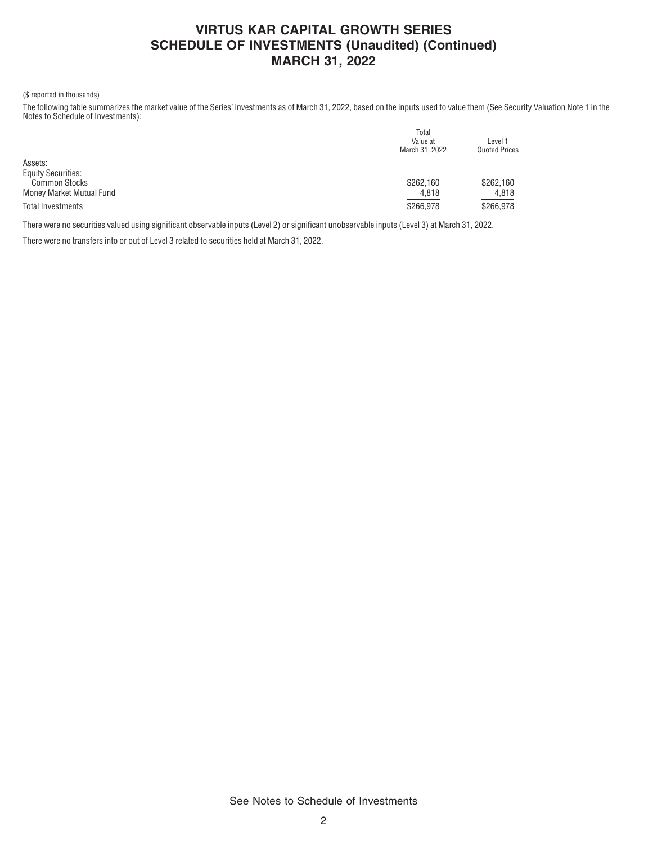### **VIRTUS KAR CAPITAL GROWTH SERIES SCHEDULE OF INVESTMENTS (Unaudited) (Continued) MARCH 31, 2022**

### (\$ reported in thousands)

The following table summarizes the market value of the Series' investments as of March 31, 2022, based on the inputs used to value them (See Security Valuation Note 1 in the Notes to Schedule of Investments):

|                           | Total          |                                 |  |
|---------------------------|----------------|---------------------------------|--|
|                           | Value at       | Level 1<br><b>Quoted Prices</b> |  |
|                           | March 31, 2022 |                                 |  |
| Assets:                   |                |                                 |  |
| <b>Equity Securities:</b> |                |                                 |  |
| <b>Common Stocks</b>      | \$262,160      | \$262,160                       |  |
| Money Market Mutual Fund  | 4,818          | 4.818                           |  |
| Total Investments         | \$266,978      | \$266,978                       |  |
|                           |                |                                 |  |

There were no securities valued using significant observable inputs (Level 2) or significant unobservable inputs (Level 3) at March 31, 2022.

There were no transfers into or out of Level 3 related to securities held at March 31, 2022.

See Notes to Schedule of Investments